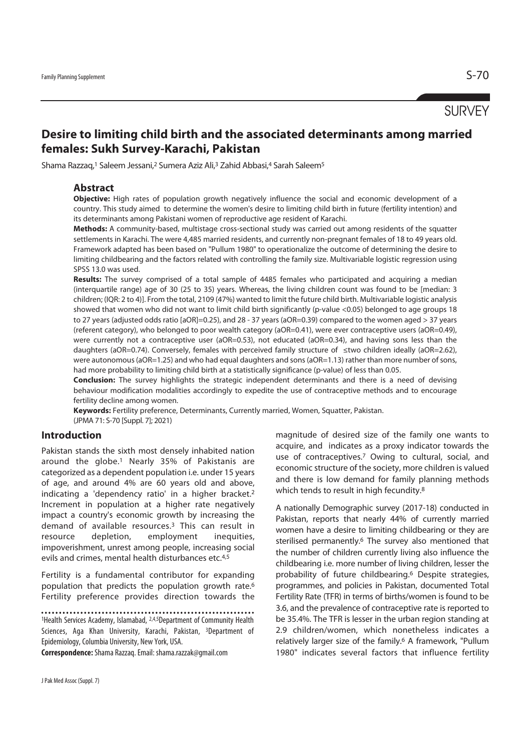**SURVEY** 

# **Desire to limiting child birth and the associated determinants among married females: Sukh Survey-Karachi, Pakistan**

Shama Razzaq,1 Saleem Jessani,2 Sumera Aziz Ali,3 Zahid Abbasi,4 Sarah Saleem5

## **Abstract**

**Objective:** High rates of population growth negatively influence the social and economic development of a country. This study aimed to determine the women's desire to limiting child birth in future (fertility intention) and its determinants among Pakistani women of reproductive age resident of Karachi.

**Methods:** A community-based, multistage cross-sectional study was carried out among residents of the squatter settlements in Karachi. The were 4,485 married residents, and currently non-pregnant females of 18 to 49 years old. Framework adapted has been based on "Pullum 1980" to operationalize the outcome of determining the desire to limiting childbearing and the factors related with controlling the family size. Multivariable logistic regression using SPSS 13.0 was used.

**Results:** The survey comprised of a total sample of 4485 females who participated and acquiring a median (interquartile range) age of 30 (25 to 35) years. Whereas, the living children count was found to be [median: 3 children; (IQR: 2 to 4)]. From the total, 2109 (47%) wanted to limit the future child birth. Multivariable logistic analysis showed that women who did not want to limit child birth significantly (p-value <0.05) belonged to age groups 18 to 27 years (adjusted odds ratio [aOR]=0.25), and 28 - 37 years (aOR=0.39) compared to the women aged > 37 years (referent category), who belonged to poor wealth category (aOR=0.41), were ever contraceptive users (aOR=0.49), were currently not a contraceptive user (aOR=0.53), not educated (aOR=0.34), and having sons less than the daughters (aOR=0.74). Conversely, females with perceived family structure of ≤two children ideally (aOR=2.62), were autonomous (aOR=1.25) and who had equal daughters and sons (aOR=1.13) rather than more number of sons, had more probability to limiting child birth at a statistically significance (p-value) of less than 0.05.

**Conclusion:** The survey highlights the strategic independent determinants and there is a need of devising behaviour modification modalities accordingly to expedite the use of contraceptive methods and to encourage fertility decline among women.

**Keywords:** Fertility preference, Determinants, Currently married, Women, Squatter, Pakistan. (JPMA 71: S-70 [Suppl. 7]; 2021)

## **Introduction**

Pakistan stands the sixth most densely inhabited nation around the globe.1 Nearly 35% of Pakistanis are categorized as a dependent population i.e. under 15 years of age, and around 4% are 60 years old and above, indicating a 'dependency ratio' in a higher bracket.2 Increment in population at a higher rate negatively impact a country's economic growth by increasing the demand of available resources.3 This can result in resource depletion, employment inequities, impoverishment, unrest among people, increasing social evils and crimes, mental health disturbances etc.<sup>4,5</sup>

Fertility is a fundamental contributor for expanding population that predicts the population growth rate.6 Fertility preference provides direction towards the

**Correspondence:** Shama Razzaq. Email: shama.razzak@gmail.com

magnitude of desired size of the family one wants to acquire, and indicates as a proxy indicator towards the use of contraceptives.<sup>7</sup> Owing to cultural, social, and economic structure of the society, more children is valued and there is low demand for family planning methods which tends to result in high fecundity.<sup>8</sup>

A nationally Demographic survey (2017-18) conducted in Pakistan, reports that nearly 44% of currently married women have a desire to limiting childbearing or they are sterilised permanently.<sup>6</sup> The survey also mentioned that the number of children currently living also influence the childbearing i.e. more number of living children, lesser the probability of future childbearing.6 Despite strategies, programmes, and policies in Pakistan, documented Total Fertility Rate (TFR) in terms of births/women is found to be 3.6, and the prevalence of contraceptive rate is reported to be 35.4%. The TFR is lesser in the urban region standing at 2.9 children/women, which nonetheless indicates a relatively larger size of the family.6 A framework, "Pullum 1980" indicates several factors that influence fertility

<sup>. . . . . . . . . . .</sup> <sup>1</sup>Health Services Academy, Islamabad, <sup>2,4,5</sup>Department of Community Health Sciences, Aga Khan University, Karachi, Pakistan, 3Department of Epidemiology, Columbia University, New York, USA.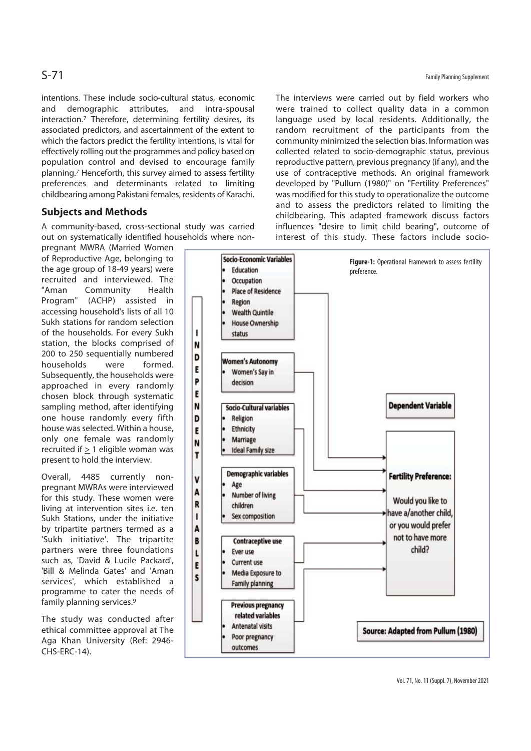intentions. These include socio-cultural status, economic and demographic attributes, and intra-spousal interaction.7 Therefore, determining fertility desires, its associated predictors, and ascertainment of the extent to which the factors predict the fertility intentions, is vital for effectively rolling out the programmes and policy based on population control and devised to encourage family planning.7 Henceforth, this survey aimed to assess fertility preferences and determinants related to limiting childbearing among Pakistani females, residents of Karachi.

## **Subjects and Methods**

A community-based, cross-sectional study was carried out on systematically identified households where non-

pregnant MWRA (Married Women of Reproductive Age, belonging to the age group of 18-49 years) were recruited and interviewed. The "Aman Community Health Program" (ACHP) assisted in accessing household's lists of all 10 Sukh stations for random selection of the households. For every Sukh station, the blocks comprised of 200 to 250 sequentially numbered households were formed. Subsequently, the households were approached in every randomly chosen block through systematic sampling method, after identifying one house randomly every fifth house was selected. Within a house, only one female was randomly recruited if  $> 1$  eligible woman was present to hold the interview.

Overall, 4485 currently nonpregnant MWRAs were interviewed for this study. These women were living at intervention sites i.e. ten Sukh Stations, under the initiative by tripartite partners termed as a 'Sukh initiative'. The tripartite partners were three foundations such as, 'David & Lucile Packard', 'Bill & Melinda Gates' and 'Aman services', which established a programme to cater the needs of family planning services.9

The study was conducted after ethical committee approval at The Aga Khan University (Ref: 2946- CHS-ERC-14).

The interviews were carried out by field workers who were trained to collect quality data in a common language used by local residents. Additionally, the random recruitment of the participants from the community minimized the selection bias. Information was collected related to socio-demographic status, previous reproductive pattern, previous pregnancy (if any), and the use of contraceptive methods. An original framework developed by "Pullum (1980)" on "Fertility Preferences" was modified for this study to operationalize the outcome and to assess the predictors related to limiting the childbearing. This adapted framework discuss factors influences "desire to limit child bearing", outcome of interest of this study. These factors include socio-

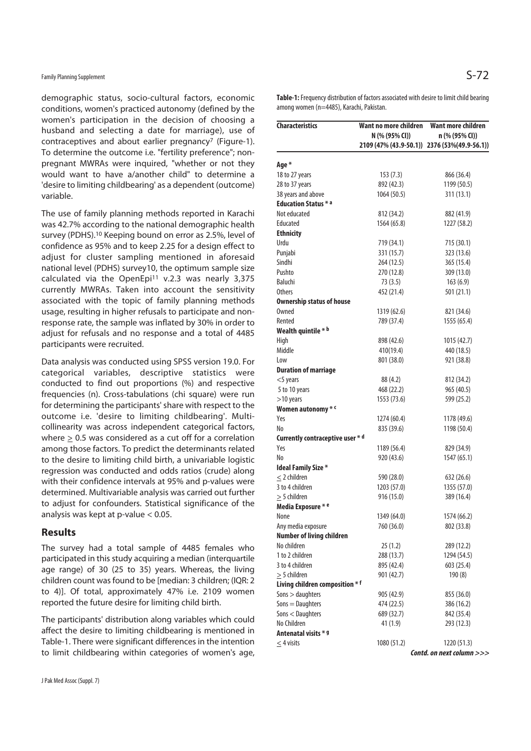demographic status, socio-cultural factors, economic conditions, women's practiced autonomy (defined by the women's participation in the decision of choosing a husband and selecting a date for marriage), use of contraceptives and about earlier pregnancy<sup>7</sup> (Figure-1). To determine the outcome i.e. "fertility preference"; nonpregnant MWRAs were inquired, "whether or not they would want to have a/another child" to determine a 'desire to limiting childbearing' as a dependent (outcome) variable.

The use of family planning methods reported in Karachi was 42.7% according to the national demographic health survey (PDHS).10 Keeping bound on error as 2.5%, level of confidence as 95% and to keep 2.25 for a design effect to adjust for cluster sampling mentioned in aforesaid national level (PDHS) survey10, the optimum sample size calculated via the OpenEpi<sup>11</sup> v.2.3 was nearly 3,375 currently MWRAs. Taken into account the sensitivity associated with the topic of family planning methods usage, resulting in higher refusals to participate and nonresponse rate, the sample was inflated by 30% in order to adjust for refusals and no response and a total of 4485 participants were recruited.

Data analysis was conducted using SPSS version 19.0. For categorical variables, descriptive statistics were conducted to find out proportions (%) and respective frequencies (n). Cross-tabulations (chi square) were run for determining the participants' share with respect to the outcome i.e. 'desire to limiting childbearing'. Multicollinearity was across independent categorical factors, where > 0.5 was considered as a cut off for a correlation among those factors. To predict the determinants related to the desire to limiting child birth, a univariable logistic regression was conducted and odds ratios (crude) along with their confidence intervals at 95% and p-values were determined. Multivariable analysis was carried out further to adjust for confounders. Statistical significance of the analysis was kept at p-value < 0.05.

## **Results**

The survey had a total sample of 4485 females who participated in this study acquiring a median (interquartile age range) of 30 (25 to 35) years. Whereas, the living children count was found to be [median: 3 children; (IQR: 2 to 4)]. Of total, approximately 47% i.e. 2109 women reported the future desire for limiting child birth.

The participants' distribution along variables which could affect the desire to limiting childbearing is mentioned in Table-1. There were significant differences in the intention to limit childbearing within categories of women's age, **Table-1:** Frequency distribution of factors associated with desire to limit child bearing among women (n=4485), Karachi, Pakistan.

| <b>Characteristics</b>           | Want no more children | Want more children                            |
|----------------------------------|-----------------------|-----------------------------------------------|
|                                  | N (% (95% CI))        | n (% (95% CI))                                |
|                                  |                       | 2109 (47% (43.9-50.1)) 2376 (53% (49.9-56.1)) |
| Age *                            |                       |                                               |
| 18 to 27 years                   | 153 (7.3)             | 866 (36.4)                                    |
| 28 to 37 years                   | 892 (42.3)            | 1199 (50.5)                                   |
| 38 years and above               | 1064 (50.5)           | 311(13.1)                                     |
| <b>Education Status * a</b>      |                       |                                               |
| Not educated                     | 812 (34.2)            | 882 (41.9)                                    |
| Educated                         | 1564 (65.8)           | 1227 (58.2)                                   |
| <b>Ethnicity</b>                 |                       |                                               |
| Urdu                             | 719 (34.1)            | 715 (30.1)                                    |
| Punjabi                          | 331 (15.7)            | 323 (13.6)                                    |
| Sindhi                           | 264 (12.5)            | 365 (15.4)                                    |
| Pushto                           | 270 (12.8)            | 309 (13.0)                                    |
| Baluchi                          | 73 (3.5)              | 163(6.9)                                      |
| <b>Others</b>                    | 452 (21.4)            | 501 (21.1)                                    |
| <b>Ownership status of house</b> |                       |                                               |
| Owned                            | 1319 (62.6)           | 821 (34.6)                                    |
| Rented                           | 789 (37.4)            | 1555 (65.4)                                   |
| Wealth quintile * b              |                       |                                               |
| High                             | 898 (42.6)            | 1015 (42.7)                                   |
| Middle                           | 410(19.4)             | 440 (18.5)                                    |
| Low                              | 801 (38.0)            | 921 (38.8)                                    |
| <b>Duration of marriage</b>      |                       |                                               |
| $<$ 5 years                      | 88 (4.2)              | 812 (34.2)                                    |
| 5 to 10 years                    | 468 (22.2)            | 965 (40.5)                                    |
| $>10$ years                      | 1553 (73.6)           | 599 (25.2)                                    |
| Women autonomy * <               |                       |                                               |
| Yes                              | 1274 (60.4)           | 1178 (49.6)                                   |
| No                               | 835 (39.6)            | 1198 (50.4)                                   |
| Currently contraceptive user * d |                       |                                               |
| Yes                              | 1189 (56.4)           | 829 (34.9)                                    |
| No                               | 920 (43.6)            | 1547 (65.1)                                   |
| <b>Ideal Family Size *</b>       |                       |                                               |
| $\leq$ 2 children                | 590 (28.0)            | 632 (26.6)                                    |
| 3 to 4 children                  | 1203 (57.0)           | 1355 (57.0)                                   |
| $>$ 5 children                   | 916 (15.0)            | 389 (16.4)                                    |
| Media Exposure * e               |                       |                                               |
| None                             | 1349 (64.0)           | 1574 (66.2)                                   |
| Any media exposure               | 760 (36.0)            | 802 (33.8)                                    |
| <b>Number of living children</b> |                       |                                               |
| No children                      | 25(1.2)               | 289 (12.2)                                    |
| 1 to 2 children                  | 288 (13.7)            | 1294 (54.5)                                   |
| 3 to 4 children                  | 895 (42.4)            | 603 (25.4)                                    |
| $\geq$ 5 children                | 901 (42.7)            | 190(8)                                        |
| Living children composition * f  |                       |                                               |
| Sons > daughters                 | 905 (42.9)            | 855 (36.0)                                    |
| Sons = Daughters                 | 474 (22.5)            | 386 (16.2)                                    |
| Sons < Daughters                 | 689 (32.7)            | 842 (35.4)                                    |
| No Children                      | 41 (1.9)              | 293 (12.3)                                    |
| Antenatal visits * 9             |                       |                                               |
| $\leq$ 4 visits                  | 1080 (51.2)           | 1220 (51.3)                                   |
|                                  |                       | Contd. on next column $>>$                    |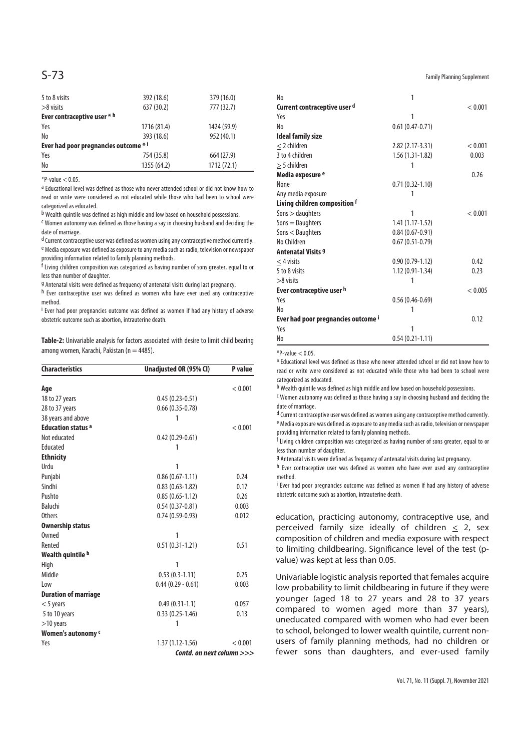| 5 to 8 visits                         | 392 (18.6)  | 379 (16.0)  |  |  |  |
|---------------------------------------|-------------|-------------|--|--|--|
| $>8$ visits                           | 637 (30.2)  | 777 (32.7)  |  |  |  |
| Ever contraceptive user * h           |             |             |  |  |  |
| Yes                                   | 1716 (81.4) | 1424 (59.9) |  |  |  |
| No                                    | 393 (18.6)  | 952 (40.1)  |  |  |  |
| Ever had poor pregnancies outcome * i |             |             |  |  |  |
| Yes                                   | 754 (35.8)  | 664 (27.9)  |  |  |  |
| No                                    | 1355 (64.2) | 1712 (72.1) |  |  |  |

 $P-value < 0.05$ 

a Educational level was defined as those who never attended school or did not know how to read or write were considered as not educated while those who had been to school were categorized as educated.

b Wealth quintile was defined as high middle and low based on household possessions.

c Women autonomy was defined as those having a say in choosing husband and deciding the date of marriage.

d Current contraceptive user was defined as women using any contraceptive method currently. e Media exposure was defined as exposure to any media such as radio, television or newspaper providing information related to family planning methods.

f Living children composition was categorized as having number of sons greater, equal to or less than number of daughter.

g Antenatal visits were defined as frequency of antenatal visits during last pregnancy.

h Ever contraceptive user was defined as women who have ever used any contraceptive method.

i Ever had poor pregnancies outcome was defined as women if had any history of adverse obstetric outcome such as abortion, intrauterine death.

**Table-2:** Univariable analysis for factors associated with desire to limit child bearing among women, Karachi, Pakistan ( $n = 4485$ ).

| <b>Characteristics</b><br>Unadjusted OR (95% CI) |                           | P value |  |
|--------------------------------------------------|---------------------------|---------|--|
| Age                                              |                           | < 0.001 |  |
| 18 to 27 years                                   | $0.45(0.23-0.51)$         |         |  |
| 28 to 37 years                                   | $0.66(0.35-0.78)$         |         |  |
| 38 years and above                               | 1                         |         |  |
| <b>Education status a</b>                        |                           | < 0.001 |  |
| Not educated                                     | $0.42(0.29-0.61)$         |         |  |
| Educated                                         | 1                         |         |  |
| <b>Ethnicity</b>                                 |                           |         |  |
| Urdu                                             | 1                         |         |  |
| Punjabi                                          | $0.86(0.67-1.11)$         | 0.24    |  |
| Sindhi                                           | $0.83(0.63 - 1.82)$       | 0.17    |  |
| Pushto                                           | $0.85(0.65 - 1.12)$       | 0.26    |  |
| Baluchi                                          | $0.54(0.37-0.81)$         | 0.003   |  |
| <b>Others</b>                                    | $0.74(0.59-0.93)$         | 0.012   |  |
| <b>Ownership status</b>                          |                           |         |  |
| Owned                                            | 1                         |         |  |
| Rented                                           | $0.51(0.31-1.21)$         | 0.51    |  |
| Wealth quintile b                                |                           |         |  |
| High                                             | 1                         |         |  |
| Middle                                           | $0.53(0.3-1.11)$          | 0.25    |  |
| Low                                              | $0.44(0.29 - 0.61)$       | 0.003   |  |
| <b>Duration of marriage</b>                      |                           |         |  |
| $<$ 5 years                                      | $0.49(0.31-1.1)$          | 0.057   |  |
| 5 to 10 years                                    | $0.33(0.25-1.46)$         | 0.13    |  |
| $>10$ years                                      | 1                         |         |  |
| Women's autonomy c                               |                           |         |  |
| Yes                                              | $1.37(1.12 - 1.56)$       | < 0.001 |  |
|                                                  | Contd. on next column >>> |         |  |

 $S$  -  $73$  Family Planning Supplement

| N <sub>0</sub>                      | 1                   |         |
|-------------------------------------|---------------------|---------|
| Current contraceptive user d        |                     | < 0.001 |
| Yes                                 | 1                   |         |
| No                                  | $0.61(0.47-0.71)$   |         |
| <b>Ideal family size</b>            |                     |         |
| $\leq$ 2 children                   | 2.82 (2.17-3.31)    | < 0.001 |
| 3 to 4 children                     | $1.56(1.31-1.82)$   | 0.003   |
| $>$ 5 children                      | 1                   |         |
| Media exposure <sup>e</sup>         |                     | 0.26    |
| None                                | $0.71(0.32 - 1.10)$ |         |
| Any media exposure                  | 1                   |         |
| Living children composition f       |                     |         |
| $Sons >$ daughters                  | 1                   | < 0.001 |
| $Sons =$ Daughters                  | $1.41(1.17-1.52)$   |         |
| Sons < Daughters                    | $0.84(0.67-0.91)$   |         |
| No Children                         | $0.67(0.51-0.79)$   |         |
| <b>Antenatal Visits 9</b>           |                     |         |
| $<$ 4 visits                        | $0.90(0.79-1.12)$   | 0.42    |
| 5 to 8 visits                       | 1.12 (0.91-1.34)    | 0.23    |
| $>8$ visits                         | 1                   |         |
| Ever contraceptive user h           |                     | < 0.005 |
| Yes                                 | $0.56(0.46-0.69)$   |         |
| No                                  | 1                   |         |
| Ever had poor pregnancies outcome ' |                     | 0.12    |
| Yes                                 | 1                   |         |
| No                                  | $0.54(0.21-1.11)$   |         |

 $*P-value < 0.05$ .

a Educational level was defined as those who never attended school or did not know how to read or write were considered as not educated while those who had been to school were categorized as educated.

b Wealth quintile was defined as high middle and low based on household possessions.

c Women autonomy was defined as those having a say in choosing husband and deciding the date of marriage.

d Current contraceptive user was defined as women using any contraceptive method currently. e Media exposure was defined as exposure to any media such as radio, television or newspaper providing information related to family planning methods.

f Living children composition was categorized as having number of sons greater, equal to or less than number of daughter.

g Antenatal visits were defined as frequency of antenatal visits during last pregnancy.

h Ever contraceptive user was defined as women who have ever used any contraceptive method.

i <sup>i</sup> Ever had poor pregnancies outcome was defined as women if had any history of adverse obstetric outcome such as abortion, intrauterine death.

education, practicing autonomy, contraceptive use, and perceived family size ideally of children < 2, sex composition of children and media exposure with respect to limiting childbearing. Significance level of the test (pvalue) was kept at less than 0.05.

Univariable logistic analysis reported that females acquire low probability to limit childbearing in future if they were younger (aged 18 to 27 years and 28 to 37 years compared to women aged more than 37 years), uneducated compared with women who had ever been to school, belonged to lower wealth quintile, current nonusers of family planning methods, had no children or fewer sons than daughters, and ever-used family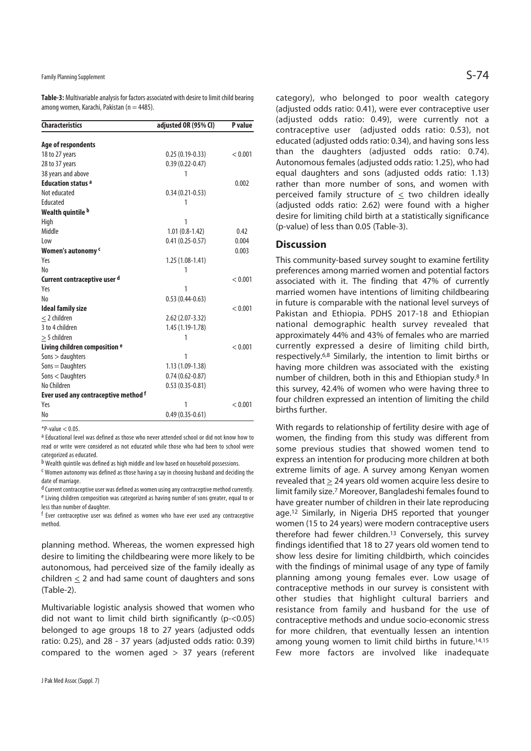Family Planning Supplement  $\mathsf{S-74}$ 

**Table-3:** Multivariable analysis for factors associated with desire to limit child bearing among women, Karachi, Pakistan ( $n = 4485$ ).

| <b>Characteristics</b>                   | adjusted OR (95% CI) | P value |
|------------------------------------------|----------------------|---------|
|                                          |                      |         |
| Age of respondents                       |                      |         |
| 18 to 27 years                           | $0.25(0.19-0.33)$    | < 0.001 |
| 28 to 37 years                           | $0.39(0.22 - 0.47)$  |         |
| 38 years and above                       | 1                    |         |
| <b>Education status a</b>                |                      | 0.002   |
| Not educated                             | $0.34(0.21-0.53)$    |         |
| Educated                                 | 1                    |         |
| Wealth quintile b                        |                      |         |
| High                                     | 1                    |         |
| Middle                                   | $1.01(0.8-1.42)$     | 0.42    |
| Low                                      | $0.41(0.25-0.57)$    | 0.004   |
| Women's autonomy c                       |                      | 0.003   |
| Yes                                      | $1.25(1.08-1.41)$    |         |
| No                                       | 1                    |         |
| Current contraceptive user d             |                      | < 0.001 |
| Yes                                      | 1                    |         |
| No                                       | $0.53(0.44-0.63)$    |         |
| <b>Ideal family size</b>                 |                      | < 0.001 |
| $<$ 2 children                           | $2.62$ (2.07-3.32)   |         |
| 3 to 4 children                          | 1.45 (1.19-1.78)     |         |
| $\geq$ 5 children                        | 1                    |         |
| Living children composition <sup>e</sup> |                      | < 0.001 |
| Sons > daughters                         | 1                    |         |
| $Sons = Daughters$                       | 1.13 (1.09-1.38)     |         |
| Sons < Daughters                         | $0.74(0.62 - 0.87)$  |         |
| No Children                              | $0.53(0.35-0.81)$    |         |
| Ever used any contraceptive method f     |                      |         |
| Yes                                      | 1                    | < 0.001 |
| No                                       | $0.49(0.35-0.61)$    |         |

 $*P-value < 0.05$ 

a Educational level was defined as those who never attended school or did not know how to read or write were considered as not educated while those who had been to school were categorized as educated.

b Wealth quintile was defined as high middle and low based on household possessions.

c Women autonomy was defined as those having a say in choosing husband and deciding the date of marriage.

d Current contraceptive user was defined as women using any contraceptive method currently. e Living children composition was categorized as having number of sons greater, equal to or less than number of daughter.

f Ever contraceptive user was defined as women who have ever used any contraceptive method.

planning method. Whereas, the women expressed high desire to limiting the childbearing were more likely to be autonomous, had perceived size of the family ideally as children  $\leq$  2 and had same count of daughters and sons (Table-2).

Multivariable logistic analysis showed that women who did not want to limit child birth significantly (p-<0.05) belonged to age groups 18 to 27 years (adjusted odds ratio: 0.25), and 28 - 37 years (adjusted odds ratio: 0.39) compared to the women aged > 37 years (referent category), who belonged to poor wealth category (adjusted odds ratio: 0.41), were ever contraceptive user (adjusted odds ratio: 0.49), were currently not a contraceptive user (adjusted odds ratio: 0.53), not educated (adjusted odds ratio: 0.34), and having sons less than the daughters (adjusted odds ratio: 0.74). Autonomous females (adjusted odds ratio: 1.25), who had equal daughters and sons (adjusted odds ratio: 1.13) rather than more number of sons, and women with perceived family structure of  $\leq$  two children ideally (adjusted odds ratio: 2.62) were found with a higher desire for limiting child birth at a statistically significance (p-value) of less than 0.05 (Table-3).

## **Discussion**

This community-based survey sought to examine fertility preferences among married women and potential factors associated with it. The finding that 47% of currently married women have intentions of limiting childbearing in future is comparable with the national level surveys of Pakistan and Ethiopia. PDHS 2017-18 and Ethiopian national demographic health survey revealed that approximately 44% and 43% of females who are married currently expressed a desire of limiting child birth, respectively.6,8 Similarly, the intention to limit births or having more children was associated with the existing number of children, both in this and Ethiopian study.8 In this survey, 42.4% of women who were having three to four children expressed an intention of limiting the child births further.

With regards to relationship of fertility desire with age of women, the finding from this study was different from some previous studies that showed women tend to express an intention for producing more children at both extreme limits of age. A survey among Kenyan women revealed that > 24 years old women acquire less desire to limit family size.7 Moreover, Bangladeshi females found to have greater number of children in their late reproducing age.12 Similarly, in Nigeria DHS reported that younger women (15 to 24 years) were modern contraceptive users therefore had fewer children.13 Conversely, this survey findings identified that 18 to 27 years old women tend to show less desire for limiting childbirth, which coincides with the findings of minimal usage of any type of family planning among young females ever. Low usage of contraceptive methods in our survey is consistent with other studies that highlight cultural barriers and resistance from family and husband for the use of contraceptive methods and undue socio-economic stress for more children, that eventually lessen an intention among young women to limit child births in future.<sup>14,15</sup> Few more factors are involved like inadequate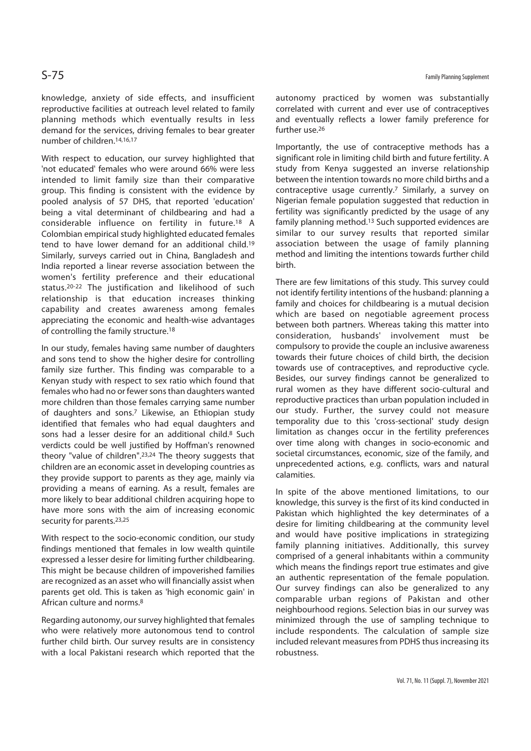knowledge, anxiety of side effects, and insufficient reproductive facilities at outreach level related to family planning methods which eventually results in less demand for the services, driving females to bear greater number of children.14,16,17

With respect to education, our survey highlighted that 'not educated' females who were around 66% were less intended to limit family size than their comparative group. This finding is consistent with the evidence by pooled analysis of 57 DHS, that reported 'education' being a vital determinant of childbearing and had a considerable influence on fertility in future.18 A Colombian empirical study highlighted educated females tend to have lower demand for an additional child.19 Similarly, surveys carried out in China, Bangladesh and India reported a linear reverse association between the women's fertility preference and their educational status.20-22 The justification and likelihood of such relationship is that education increases thinking capability and creates awareness among females appreciating the economic and health-wise advantages of controlling the family structure.18

In our study, females having same number of daughters and sons tend to show the higher desire for controlling family size further. This finding was comparable to a Kenyan study with respect to sex ratio which found that females who had no or fewer sons than daughters wanted more children than those females carrying same number of daughters and sons.7 Likewise, an Ethiopian study identified that females who had equal daughters and sons had a lesser desire for an additional child.<sup>8</sup> Such verdicts could be well justified by Hoffman's renowned theory "value of children".23,24 The theory suggests that children are an economic asset in developing countries as they provide support to parents as they age, mainly via providing a means of earning. As a result, females are more likely to bear additional children acquiring hope to have more sons with the aim of increasing economic security for parents.<sup>23,25</sup>

With respect to the socio-economic condition, our study findings mentioned that females in low wealth quintile expressed a lesser desire for limiting further childbearing. This might be because children of impoverished families are recognized as an asset who will financially assist when parents get old. This is taken as 'high economic gain' in African culture and norms.8

Regarding autonomy, our survey highlighted that females who were relatively more autonomous tend to control further child birth. Our survey results are in consistency with a local Pakistani research which reported that the autonomy practiced by women was substantially correlated with current and ever use of contraceptives and eventually reflects a lower family preference for further use.<sup>26</sup>

Importantly, the use of contraceptive methods has a significant role in limiting child birth and future fertility. A study from Kenya suggested an inverse relationship between the intention towards no more child births and a contraceptive usage currently.<sup>7</sup> Similarly, a survey on Nigerian female population suggested that reduction in fertility was significantly predicted by the usage of any family planning method.<sup>13</sup> Such supported evidences are similar to our survey results that reported similar association between the usage of family planning method and limiting the intentions towards further child birth.

There are few limitations of this study. This survey could not identify fertility intentions of the husband: planning a family and choices for childbearing is a mutual decision which are based on negotiable agreement process between both partners. Whereas taking this matter into consideration, husbands' involvement must be compulsory to provide the couple an inclusive awareness towards their future choices of child birth, the decision towards use of contraceptives, and reproductive cycle. Besides, our survey findings cannot be generalized to rural women as they have different socio-cultural and reproductive practices than urban population included in our study. Further, the survey could not measure temporality due to this 'cross-sectional' study design limitation as changes occur in the fertility preferences over time along with changes in socio-economic and societal circumstances, economic, size of the family, and unprecedented actions, e.g. conflicts, wars and natural calamities.

In spite of the above mentioned limitations, to our knowledge, this survey is the first of its kind conducted in Pakistan which highlighted the key determinates of a desire for limiting childbearing at the community level and would have positive implications in strategizing family planning initiatives. Additionally, this survey comprised of a general inhabitants within a community which means the findings report true estimates and give an authentic representation of the female population. Our survey findings can also be generalized to any comparable urban regions of Pakistan and other neighbourhood regions. Selection bias in our survey was minimized through the use of sampling technique to include respondents. The calculation of sample size included relevant measures from PDHS thus increasing its robustness.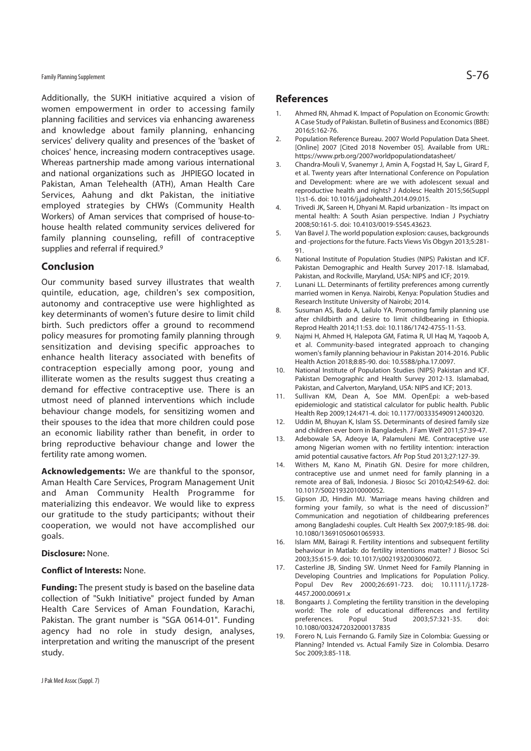## Family Planning Supplement  $\mathsf{S-76}$

Additionally, the SUKH initiative acquired a vision of women empowerment in order to accessing family planning facilities and services via enhancing awareness and knowledge about family planning, enhancing services' delivery quality and presences of the 'basket of choices' hence, increasing modern contraceptives usage. Whereas partnership made among various international and national organizations such as JHPIEGO located in Pakistan, Aman Telehealth (ATH), Aman Health Care Services, Aahung and dkt Pakistan, the initiative employed strategies by CHWs (Community Health Workers) of Aman services that comprised of house-tohouse health related community services delivered for family planning counseling, refill of contraceptive supplies and referral if required.<sup>9</sup>

## **Conclusion**

Our community based survey illustrates that wealth quintile, education, age, children's sex composition, autonomy and contraceptive use were highlighted as key determinants of women's future desire to limit child birth. Such predictors offer a ground to recommend policy measures for promoting family planning through sensitization and devising specific approaches to enhance health literacy associated with benefits of contraception especially among poor, young and illiterate women as the results suggest thus creating a demand for effective contraceptive use. There is an utmost need of planned interventions which include behaviour change models, for sensitizing women and their spouses to the idea that more children could pose an economic liability rather than benefit, in order to bring reproductive behaviour change and lower the fertility rate among women.

**Acknowledgements:** We are thankful to the sponsor, Aman Health Care Services, Program Management Unit and Aman Community Health Programme for materializing this endeavor. We would like to express our gratitude to the study participants; without their cooperation, we would not have accomplished our goals.

## **Disclosure:** None.

## **Conflict of Interests:** None.

**Funding:** The present study is based on the baseline data collection of "Sukh Initiative" project funded by Aman Health Care Services of Aman Foundation, Karachi, Pakistan. The grant number is "SGA 0614-01". Funding agency had no role in study design, analyses, interpretation and writing the manuscript of the present study.

## **References**

- 1. Ahmed RN, Ahmad K. Impact of Population on Economic Growth: A Case Study of Pakistan. Bulletin of Business and Economics (BBE) 2016;5:162-76.
- 2. Population Reference Bureau. 2007 World Population Data Sheet. [Online] 2007 [Cited 2018 November 05]. Available from URL: https://www.prb.org/2007worldpopulationdatasheet/
- 3. Chandra-Mouli V, Svanemyr J, Amin A, Fogstad H, Say L, Girard F, et al. Twenty years after International Conference on Population and Development: where are we with adolescent sexual and reproductive health and rights? J Adolesc Health 2015;56(Suppl 1):s1-6. doi: 10.1016/j.jadohealth.2014.09.015.
- 4. Trivedi JK, Sareen H, Dhyani M. Rapid urbanization Its impact on mental health: A South Asian perspective. Indian J Psychiatry 2008;50:161-5. doi: 10.4103/0019-5545.43623.
- 5. Van Bayel J. The world population explosion: causes, backgrounds and -projections for the future. Facts Views Vis Obgyn 2013;5:281- 91.
- 6. National Institute of Population Studies (NIPS) Pakistan and ICF. Pakistan Demographic and Health Survey 2017-18. Islamabad, Pakistan, and Rockville, Maryland, USA: NIPS and ICF; 2019.
- 7. Lunani LL. Determinants of fertility preferences among currently married women in Kenya. Nairobi, Kenya: Population Studies and Research Institute University of Nairobi; 2014.
- 8. Susuman AS, Bado A, Lailulo YA. Promoting family planning use after childbirth and desire to limit childbearing in Ethiopia. Reprod Health 2014;11:53. doi: 10.1186/1742-4755-11-53.
- 9. Najmi H, Ahmed H, Halepota GM, Fatima R, Ul Haq M, Yaqoob A, et al. Community-based integrated approach to changing women's family planning behaviour in Pakistan 2014-2016. Public Health Action 2018;8:85-90. doi: 10.5588/pha.17.0097.
- 10. National Institute of Population Studies (NIPS) Pakistan and ICF. Pakistan Demographic and Health Survey 2012-13. Islamabad, Pakistan, and Calverton, Maryland, USA: NIPS and ICF; 2013.
- 11. Sullivan KM, Dean A, Soe MM. OpenEpi: a web-based epidemiologic and statistical calculator for public health. Public Health Rep 2009;124:471-4. doi: 10.1177/003335490912400320.
- 12. Uddin M, Bhuyan K, Islam SS. Determinants of desired family size and children ever born in Bangladesh. J Fam Welf 2011;57:39-47.
- 13. Adebowale SA, Adeoye IA, Palamuleni ME. Contraceptive use among Nigerian women with no fertility intention: interaction amid potential causative factors. Afr Pop Stud 2013;27:127-39.
- 14. Withers M, Kano M, Pinatih GN. Desire for more children, contraceptive use and unmet need for family planning in a remote area of Bali, Indonesia. J Biosoc Sci 2010;42:549-62. doi: 10.1017/S0021932010000052.
- 15. Gipson JD, Hindin MJ. 'Marriage means having children and forming your family, so what is the need of discussion?' Communication and negotiation of childbearing preferences among Bangladeshi couples. Cult Health Sex 2007;9:185-98. doi: 10.1080/13691050601065933.
- 16. Islam MM, Bairagi R. Fertility intentions and subsequent fertility behaviour in Matlab: do fertility intentions matter? J Biosoc Sci 2003;35:615-9. doi: 10.1017/s0021932003006072.
- 17. Casterline JB, Sinding SW. Unmet Need for Family Planning in Developing Countries and Implications for Population Policy. Popul Dev Rev 2000;26:691-723. doi; 10.1111/j.1728- 4457.2000.00691.x
- 18. Bongaarts J. Completing the fertility transition in the developing world: The role of educational differences and fertility<br>preferences. Popul Stud 2003:57:321-35. doi: preferences. Popul Stud 2003;57:321-35. doi: 10.1080/0032472032000137835
- 19. Forero N, Luis Fernando G. Family Size in Colombia: Guessing or Planning? Intended vs. Actual Family Size in Colombia. Desarro Soc 2009;3:85-118.